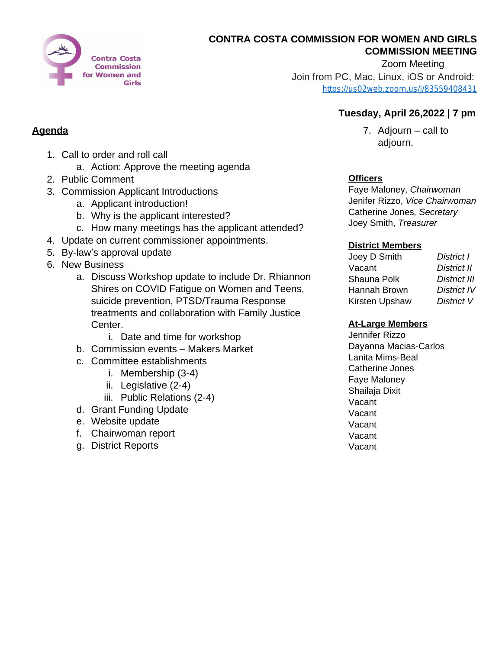

### **CONTRA COSTA COMMISSION FOR WOMEN AND GIRLS COMMISSION MEETING**

Zoom Meeting

Join from PC, Mac, Linux, iOS or Android: [https://us02web.zoom.us/j/83559408431](https://us02web.zoom.us/j/835594084317)

## **Tuesday, April 26,2022 | 7 pm**

7. Adjourn – call to adjourn.

## **Officers**

Faye Maloney, *Chairwoman* Jenifer Rizzo, *Vice Chairwoman* Catherine Jones*, Secretary* Joey Smith, *Treasurer*

#### **District Members**

| Joey D Smith   | District I          |
|----------------|---------------------|
| Vacant         | <b>District II</b>  |
| Shauna Polk    | <b>District III</b> |
| Hannah Brown   | <b>District IV</b>  |
| Kirsten Upshaw | District V          |

### **At-Large Members**

Jennifer Rizzo Dayanna Macias-Carlos Lanita Mims-Beal Catherine Jones Faye Maloney Shailaja Dixit Vacant Vacant Vacant Vacant Vacant

# **Agenda**

- 1. Call to order and roll call
	- a. Action: Approve the meeting agenda
- 2. Public Comment
- 3. Commission Applicant Introductions
	- a. Applicant introduction!
	- b. Why is the applicant interested?
	- c. How many meetings has the applicant attended?
- 4. Update on current commissioner appointments.
- 5. By-law's approval update
- 6. New Business
	- a. Discuss Workshop update to include Dr. Rhiannon Shires on COVID Fatigue on Women and Teens, suicide prevention, PTSD/Trauma Response treatments and collaboration with Family Justice Center.
		- i. Date and time for workshop
	- b. Commission events Makers Market
	- c. Committee establishments
		- i. Membership (3-4)
		- ii. Legislative (2-4)
		- iii. Public Relations (2-4)
	- d. Grant Funding Update
	- e. Website update
	- f. Chairwoman report
	- g. District Reports